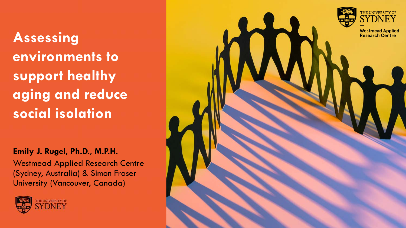**Assessing environments to support healthy aging and reduce social isolation**

#### **Emily J. Rugel, Ph.D., M.P.H.**

Westmead Applied Research Centre (Sydney, Australia) & Simon Fraser University (Vancouver, Canada)



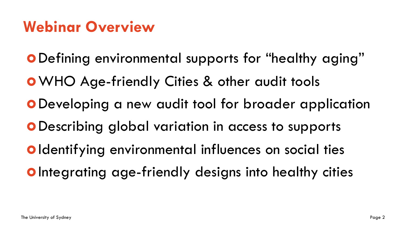# **Webinar Overview**

Defining environmental supports for "healthy aging" **o** WHO Age-friendly Cities & other audit tools Developing a new audit tool for broader application Describing global variation in access to supports **Oldentifying environmental influences on social ties O** Integrating age-friendly designs into healthy cities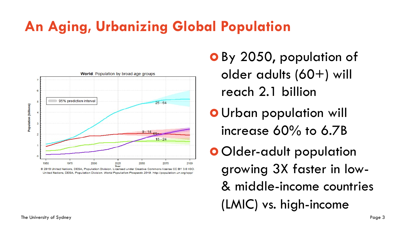# **An Aging, Urbanizing Global Population**



 By 2050, population of older adults (60+) will reach 2.1 billion

- Urban population will increase 60% to 6.7B
- Older-adult population growing 3X faster in low- & middle-income countries (LMIC) vs. high-income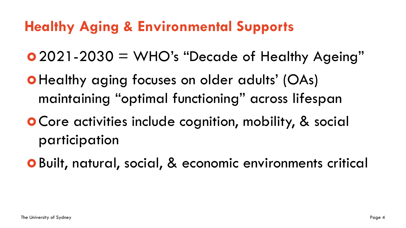## **Healthy Aging & Environmental Supports**

2021-2030 = WHO's "Decade of Healthy Ageing"

- Healthy aging focuses on older adults' (OAs) maintaining "optimal functioning" across lifespan
- Core activities include cognition, mobility, & social participation
- Built, natural, social, & economic environments critical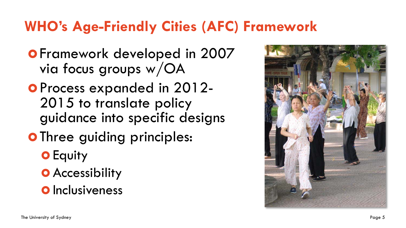### **WHO's Age-Friendly Cities (AFC) Framework**

- **O** Framework developed in 2007 via focus groups w/OA
- Process expanded in 2012- 2015 to translate policy guidance into specific designs
- **O** Three guiding principles:
	- **O** Equity
	- **O** Accessibility
	- **O** Inclusiveness

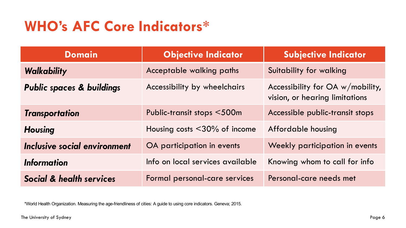# **WHO's AFC Core Indicators\***

| <b>Domain</b>                        | <b>Objective Indicator</b>         | <b>Subjective Indicator</b>                                           |  |
|--------------------------------------|------------------------------------|-----------------------------------------------------------------------|--|
| Walkability                          | Acceptable walking paths           | Suitability for walking                                               |  |
| <b>Public spaces &amp; buildings</b> | Accessibility by wheelchairs       | Accessibility for $OA w/mobility$ ,<br>vision, or hearing limitations |  |
| <b>Transportation</b>                | Public-transit stops <500m         | Accessible public-transit stops                                       |  |
| <b>Housing</b>                       | Housing costs $\leq$ 30% of income | Affordable housing                                                    |  |
| Inclusive social environment         | OA participation in events         | Weekly participation in events                                        |  |
| <b>Information</b>                   | Info on local services available   | Knowing whom to call for info                                         |  |
| Social & health services             | Formal personal-care services      | Personal-care needs met                                               |  |

\*World Health Organization. Measuring the age-friendliness of cities: A guide to using core indicators. Geneva; 2015.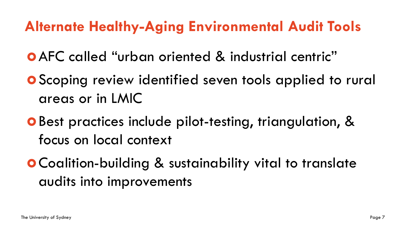### **Alternate Healthy-Aging Environmental Audit Tools**

AFC called "urban oriented & industrial centric"

- **O** Scoping review identified seven tools applied to rural areas or in LMIC
- Best practices include pilot-testing, triangulation, & focus on local context
- Coalition-building & sustainability vital to translate audits into improvements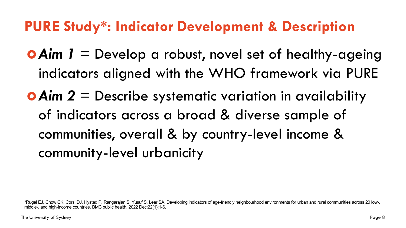#### **PURE Study\*: Indicator Development & Description**

- **O Aim 1** = Develop a robust, novel set of healthy-ageing indicators aligned with the WHO framework via PURE
- *Aim 2* = Describe systematic variation in availability of indicators across a broad & diverse sample of communities, overall & by country-level income & community-level urbanicity

<sup>\*</sup>Rugel EJ, Chow CK, Corsi DJ, Hystad P, Rangarajan S, Yusuf S, Lear SA. Developing indicators of age-friendly neighbourhood environments for urban and rural communities across 20 low-, middle-, and high-income countries. BMC public health. 2022 Dec;22(1):1-6.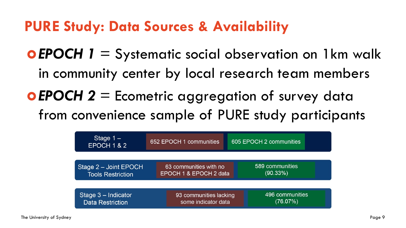#### **PURE Study: Data Sources & Availability**

*EPOCH 1* = Systematic social observation on 1km walk in community center by local research team members

*EPOCH 2* = Ecometric aggregation of survey data from convenience sample of PURE study participants

| Stage $1 -$<br>EPOCH 1 & 2 | 652 EPOCH 1 communities | 605 EPOCH 2 communities |  |  |
|----------------------------|-------------------------|-------------------------|--|--|
| Stage 2 - Joint EPOCH      | 63 communities with no  | 589 communities         |  |  |
| <b>Tools Restriction</b>   | EPOCH 1 & EPOCH 2 data  | (90.33%)                |  |  |
| Stage 3 - Indicator        | 93 communities lacking  | 496 communities         |  |  |
| <b>Data Restriction</b>    | some indicator data     | (76.07%)                |  |  |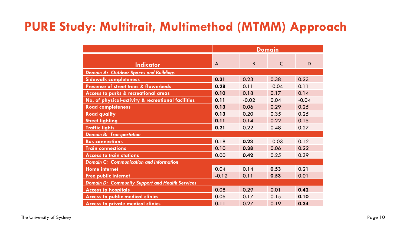#### **PURE Study: Multitrait, Multimethod (MTMM) Approach**

|                                                        | <b>Domain</b> |         |         |         |  |  |  |
|--------------------------------------------------------|---------------|---------|---------|---------|--|--|--|
|                                                        |               |         |         |         |  |  |  |
| <b>Indicator</b>                                       | A             | B       | C       | D       |  |  |  |
| <b>Domain A: Outdoor Spaces and Buildings</b>          |               |         |         |         |  |  |  |
| <b>Sidewalk completeness</b>                           | 0.31          | 0.23    | 0.38    | 0.23    |  |  |  |
| Presence of street trees & flowerbeds                  | 0.28          | 0.11    | $-0.04$ | 0.11    |  |  |  |
| Access to parks & recreational areas                   | 0.10          | 0.18    | 0.17    | 0.14    |  |  |  |
| No. of physical-activity & recreational facilities     | 0.11          | $-0.02$ | 0.04    | $-0.04$ |  |  |  |
| <b>Road completeness</b>                               | 0.13          | 0.06    | 0.29    | 0.25    |  |  |  |
| <b>Road quality</b>                                    | 0.13          | 0.20    | 0.35    | 0.25    |  |  |  |
| <b>Street lighting</b>                                 | 0.11          | 0.14    | 0.22    | 0.15    |  |  |  |
| <b>Traffic lights</b>                                  | 0.21          | 0.22    | 0.48    | 0.27    |  |  |  |
| <b>Domain B: Transportation</b>                        |               |         |         |         |  |  |  |
| <b>Bus connections</b>                                 | 0.18          | 0.23    | $-0.03$ | 0.12    |  |  |  |
| <b>Train connections</b>                               | 0.10          | 0.38    | 0.06    | 0.22    |  |  |  |
| <b>Access to train stations</b>                        | 0.00          | 0.42    | 0.25    | 0.39    |  |  |  |
| <b>Domain C: Communication and Information</b>         |               |         |         |         |  |  |  |
| <b>Home internet</b>                                   | 0.04          | 0.14    | 0.53    | 0.21    |  |  |  |
| <b>Free public internet</b>                            | $-0.12$       | 0.11    | 0.53    | 0.01    |  |  |  |
| <b>Domain D: Community Support and Health Services</b> |               |         |         |         |  |  |  |
| <b>Access to hospitals</b>                             | 0.08          | 0.29    | 0.01    | 0.42    |  |  |  |
| <b>Access to public medical clinics</b>                | 0.06          | 0.17    | 0.15    | 0.10    |  |  |  |
| <b>Access to private medical clinics</b>               | 0.11          | 0.27    | 0.19    | 0.34    |  |  |  |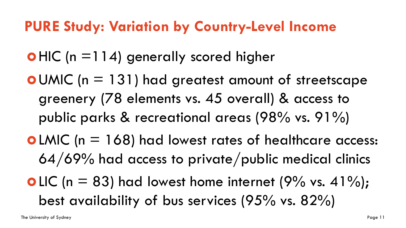#### **PURE Study: Variation by Country-Level Income**

 $\bullet$  HIC (n = 114) generally scored higher

**O** UMIC ( $n = 131$ ) had greatest amount of streetscape greenery (78 elements vs. 45 overall) & access to public parks & recreational areas (98% vs. 91%) **o** LMIC ( $n = 168$ ) had lowest rates of healthcare access:

- 64/69% had access to private/public medical clinics
- **o** LIC (n = 83) had lowest home internet (9% vs. 41%); best availability of bus services (95% vs. 82%)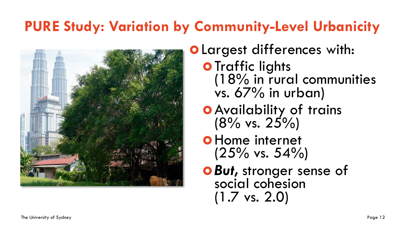# **PURE Study: Variation by Community-Level Urbanicity**



- Largest differences with:
	- **O** Traffic lights (18% in rural communities vs. 67% in urban)
	- Availability of trains  $(8\% \text{ vs. } 25\%)$
	- **o** Home internet  $(25\% \text{ vs. } 54\%)$
	- *But,* stronger sense of social cohesion (1.7 vs. 2.0)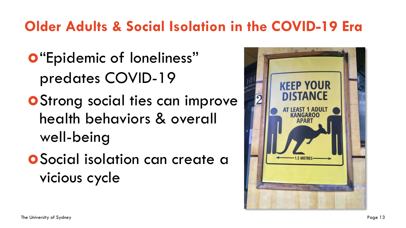# **Older Adults & Social Isolation in the COVID-19 Era**

- **O**"Epidemic of loneliness" predates COVID-19
- **O** Strong social ties can improve health behaviors & overall well-being
- Social isolation can create a vicious cycle

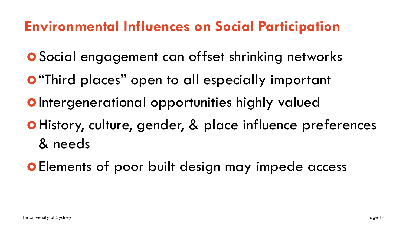# **Environmental Influences on Social Participation**

- Social engagement can offset shrinking networks
- **O** "Third places" open to all especially important
- **O** Intergenerational opportunities highly valued
- History, culture, gender, & place influence preferences & needs
- **O** Elements of poor built design may impede access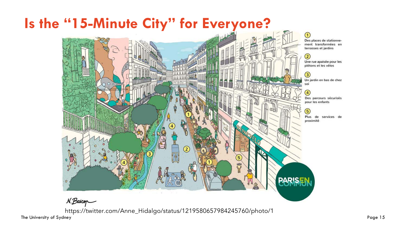

https://twitter.com/Anne\_Hidalgo/status/1219580657984245760/photo/1

The University of Sydney Page 15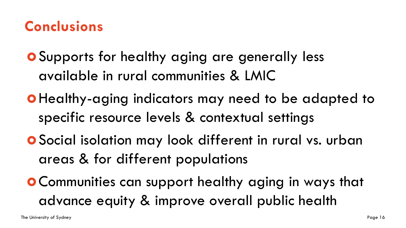#### **Conclusions**

- Supports for healthy aging are generally less available in rural communities & LMIC
- o Healthy-aging indicators may need to be adapted to specific resource levels & contextual settings
- Social isolation may look different in rural vs. urban areas & for different populations
- Communities can support healthy aging in ways that advance equity & improve overall public health